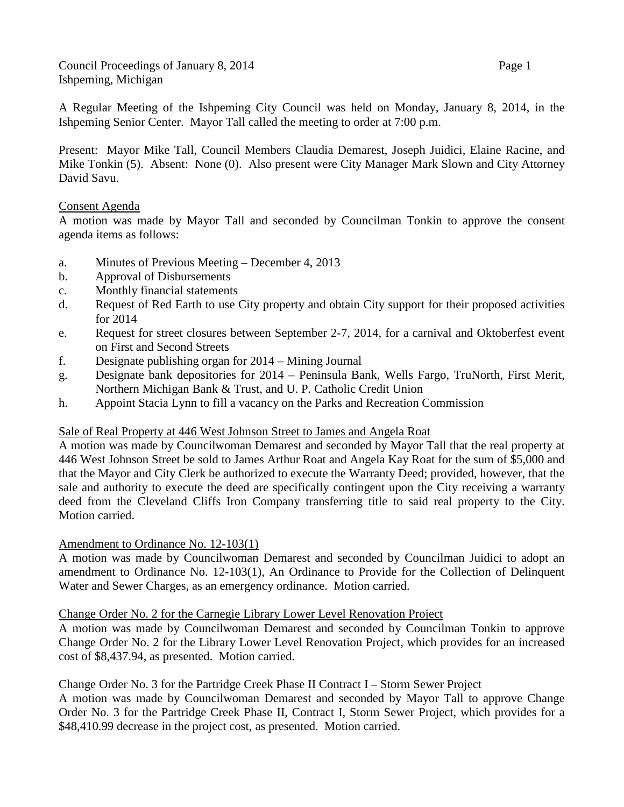Council Proceedings of January 8, 2014 Page 1 Ishpeming, Michigan

A Regular Meeting of the Ishpeming City Council was held on Monday, January 8, 2014, in the Ishpeming Senior Center. Mayor Tall called the meeting to order at 7:00 p.m.

Present: Mayor Mike Tall, Council Members Claudia Demarest, Joseph Juidici, Elaine Racine, and Mike Tonkin (5). Absent: None (0). Also present were City Manager Mark Slown and City Attorney David Savu.

# Consent Agenda

A motion was made by Mayor Tall and seconded by Councilman Tonkin to approve the consent agenda items as follows:

- a. Minutes of Previous Meeting December 4, 2013
- b. Approval of Disbursements
- c. Monthly financial statements
- d. Request of Red Earth to use City property and obtain City support for their proposed activities for 2014
- e. Request for street closures between September 2-7, 2014, for a carnival and Oktoberfest event on First and Second Streets
- f. Designate publishing organ for 2014 Mining Journal
- g. Designate bank depositories for 2014 Peninsula Bank, Wells Fargo, TruNorth, First Merit, Northern Michigan Bank & Trust, and U. P. Catholic Credit Union
- h. Appoint Stacia Lynn to fill a vacancy on the Parks and Recreation Commission

# Sale of Real Property at 446 West Johnson Street to James and Angela Roat

A motion was made by Councilwoman Demarest and seconded by Mayor Tall that the real property at 446 West Johnson Street be sold to James Arthur Roat and Angela Kay Roat for the sum of \$5,000 and that the Mayor and City Clerk be authorized to execute the Warranty Deed; provided, however, that the sale and authority to execute the deed are specifically contingent upon the City receiving a warranty deed from the Cleveland Cliffs Iron Company transferring title to said real property to the City. Motion carried.

## Amendment to Ordinance No. 12-103(1)

A motion was made by Councilwoman Demarest and seconded by Councilman Juidici to adopt an amendment to Ordinance No. 12-103(1), An Ordinance to Provide for the Collection of Delinquent Water and Sewer Charges, as an emergency ordinance. Motion carried.

## Change Order No. 2 for the Carnegie Library Lower Level Renovation Project

A motion was made by Councilwoman Demarest and seconded by Councilman Tonkin to approve Change Order No. 2 for the Library Lower Level Renovation Project, which provides for an increased cost of \$8,437.94, as presented. Motion carried.

## Change Order No. 3 for the Partridge Creek Phase II Contract I – Storm Sewer Project

A motion was made by Councilwoman Demarest and seconded by Mayor Tall to approve Change Order No. 3 for the Partridge Creek Phase II, Contract I, Storm Sewer Project, which provides for a \$48,410.99 decrease in the project cost, as presented. Motion carried.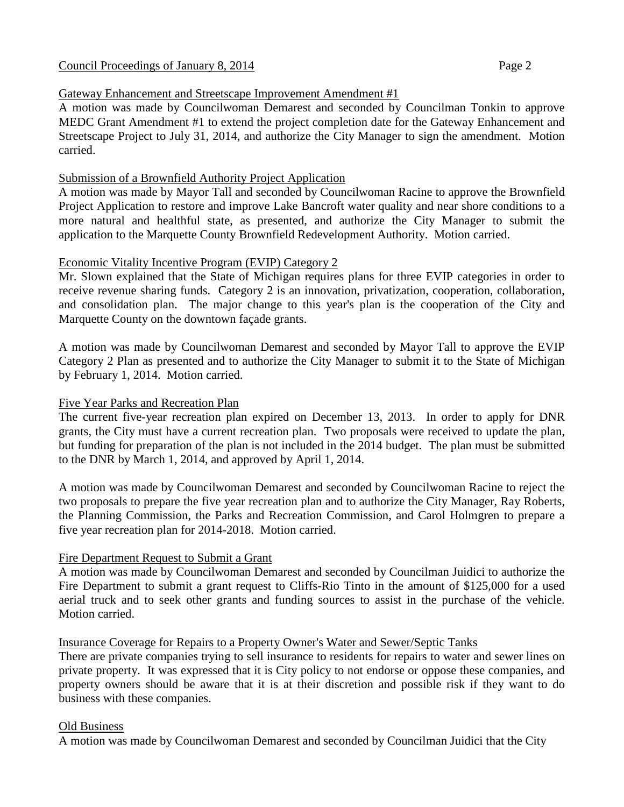# Gateway Enhancement and Streetscape Improvement Amendment #1

A motion was made by Councilwoman Demarest and seconded by Councilman Tonkin to approve MEDC Grant Amendment #1 to extend the project completion date for the Gateway Enhancement and Streetscape Project to July 31, 2014, and authorize the City Manager to sign the amendment. Motion carried.

# Submission of a Brownfield Authority Project Application

A motion was made by Mayor Tall and seconded by Councilwoman Racine to approve the Brownfield Project Application to restore and improve Lake Bancroft water quality and near shore conditions to a more natural and healthful state, as presented, and authorize the City Manager to submit the application to the Marquette County Brownfield Redevelopment Authority. Motion carried.

# Economic Vitality Incentive Program (EVIP) Category 2

Mr. Slown explained that the State of Michigan requires plans for three EVIP categories in order to receive revenue sharing funds. Category 2 is an innovation, privatization, cooperation, collaboration, and consolidation plan. The major change to this year's plan is the cooperation of the City and Marquette County on the downtown façade grants.

A motion was made by Councilwoman Demarest and seconded by Mayor Tall to approve the EVIP Category 2 Plan as presented and to authorize the City Manager to submit it to the State of Michigan by February 1, 2014. Motion carried.

# Five Year Parks and Recreation Plan

The current five-year recreation plan expired on December 13, 2013. In order to apply for DNR grants, the City must have a current recreation plan. Two proposals were received to update the plan, but funding for preparation of the plan is not included in the 2014 budget. The plan must be submitted to the DNR by March 1, 2014, and approved by April 1, 2014.

A motion was made by Councilwoman Demarest and seconded by Councilwoman Racine to reject the two proposals to prepare the five year recreation plan and to authorize the City Manager, Ray Roberts, the Planning Commission, the Parks and Recreation Commission, and Carol Holmgren to prepare a five year recreation plan for 2014-2018. Motion carried.

# Fire Department Request to Submit a Grant

A motion was made by Councilwoman Demarest and seconded by Councilman Juidici to authorize the Fire Department to submit a grant request to Cliffs-Rio Tinto in the amount of \$125,000 for a used aerial truck and to seek other grants and funding sources to assist in the purchase of the vehicle. Motion carried.

## Insurance Coverage for Repairs to a Property Owner's Water and Sewer/Septic Tanks

There are private companies trying to sell insurance to residents for repairs to water and sewer lines on private property. It was expressed that it is City policy to not endorse or oppose these companies, and property owners should be aware that it is at their discretion and possible risk if they want to do business with these companies.

## Old Business

A motion was made by Councilwoman Demarest and seconded by Councilman Juidici that the City